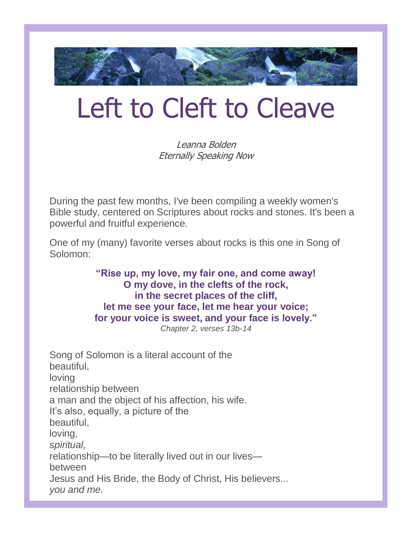

# Left to Cleft to Cleave

Leanna Bolden Eternally Speaking Now

During the past few months, I've been compiling a weekly women's Bible study, centered on Scriptures about rocks and stones. It's been a powerful and fruitful experience.

One of my (many) favorite verses about rocks is this one in Song of Solomon:

> **"Rise up, my love, my fair one, and come away! O my dove, in the clefts of the rock, in the secret places of the cliff, let me see your face, let me hear your voice; for your voice is sweet, and your face is lovely."**

*Chapter 2, verses 13b-14*

Song of Solomon is a literal account of the beautiful, loving relationship between a man and the object of his affection, his wife. It's also, equally, a picture of the beautiful, loving, *spiritual,* relationship—to be literally lived out in our lives between Jesus and His Bride, the Body of Christ, His believers... *you and me.*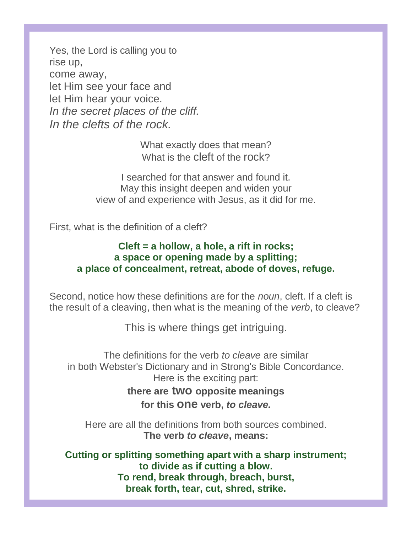Yes, the Lord is calling you to rise up, come away, let Him see your face and let Him hear your voice. *In the secret places of the cliff. In the clefts of the rock.*

> What exactly does that mean? What is the cleft of the rock?

I searched for that answer and found it. May this insight deepen and widen your view of and experience with Jesus, as it did for me.

First, what is the definition of a cleft?

### **Cleft = a hollow, a hole, a rift in rocks; a space or opening made by a splitting; a place of concealment, retreat, abode of doves, refuge.**

Second, notice how these definitions are for the *noun*, cleft. If a cleft is the result of a cleaving, then what is the meaning of the *verb*, to cleave?

This is where things get intriguing.

The definitions for the verb *to cleave* are similar in both Webster's Dictionary and in Strong's Bible Concordance. Here is the exciting part: **there are two opposite meanings**

**for this one verb,** *to cleave.*

Here are all the definitions from both sources combined. **The verb** *to cleave***, means:**

**Cutting or splitting something apart with a sharp instrument; to divide as if cutting a blow. To rend, break through, breach, burst, break forth, tear, cut, shred, strike.**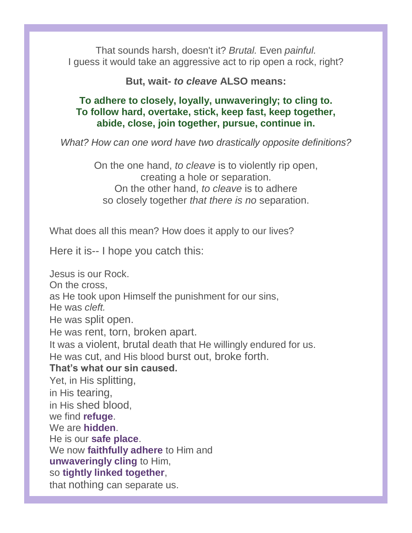That sounds harsh, doesn't it? *Brutal.* Even *painful.* I guess it would take an aggressive act to rip open a rock, right?

**But, wait-** *to cleave* **ALSO means:**

### **To adhere to closely, loyally, unwaveringly; to cling to. To follow hard, overtake, stick, keep fast, keep together, abide, close, join together, pursue, continue in.**

*What? How can one word have two drastically opposite definitions?*

On the one hand, *to cleave* is to violently rip open, creating a hole or separation. On the other hand, *to cleave* is to adhere so closely together *that there is no* separation.

What does all this mean? How does it apply to our lives?

Here it is-- I hope you catch this:

Jesus is our Rock. On the cross, as He took upon Himself the punishment for our sins, He was *cleft.* He was split open. He was rent, torn, broken apart. It was a violent, brutal death that He willingly endured for us. He was cut, and His blood burst out, broke forth. **That's what our sin caused.** Yet, in His splitting, in His tearing, in His shed blood, we find **refuge**. We are **hidden**. He is our **safe place**. We now **faithfully adhere** to Him and **unwaveringly cling** to Him, so **tightly linked together**, that nothing can separate us.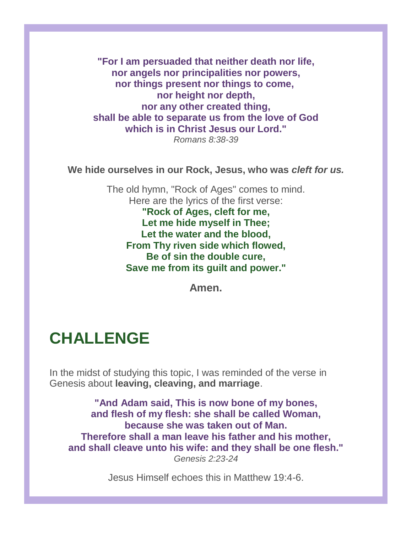**"For I am persuaded that neither death nor life, nor angels nor principalities nor powers, nor things present nor things to come, nor height nor depth, nor any other created thing, shall be able to separate us from the love of God which is in Christ Jesus our Lord."** *Romans 8:38-39*

**We hide ourselves in our Rock, Jesus, who was** *cleft for us.*

The old hymn, "Rock of Ages" comes to mind. Here are the lyrics of the first verse: **"Rock of Ages, cleft for me, Let me hide myself in Thee; Let the water and the blood, From Thy riven side which flowed, Be of sin the double cure, Save me from its guilt and power."**

**Amen.**

## **CHALLENGE**

In the midst of studying this topic, I was reminded of the verse in Genesis about **leaving, cleaving, and marriage**.

**"And Adam said, This is now bone of my bones, and flesh of my flesh: she shall be called Woman, because she was taken out of Man. Therefore shall a man leave his father and his mother, and shall cleave unto his wife: and they shall be one flesh."** *Genesis 2:23-24*

Jesus Himself echoes this in Matthew 19:4-6.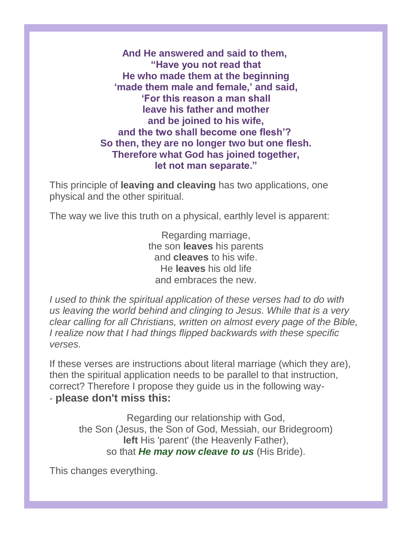**And He answered and said to them, "Have you not read that He who made them at the beginning 'made them male and female,' and said, 'For this reason a man shall leave his father and mother and be joined to his wife, and the two shall become one flesh'? So then, they are no longer two but one flesh. Therefore what God has joined together, let not man separate."**

This principle of **leaving and cleaving** has two applications, one physical and the other spiritual.

The way we live this truth on a physical, earthly level is apparent:

Regarding marriage, the son **leaves** his parents and **cleaves** to his wife. He **leaves** his old life and embraces the new.

*I used to think the spiritual application of these verses had to do with us leaving the world behind and clinging to Jesus. While that is a very clear calling for all Christians, written on almost every page of the Bible, I realize now that I had things flipped backwards with these specific verses.*

If these verses are instructions about literal marriage (which they are), then the spiritual application needs to be parallel to that instruction, correct? Therefore I propose they guide us in the following way- - **please don't miss this:**

Regarding our relationship with God, the Son (Jesus, the Son of God, Messiah, our Bridegroom) **left** His 'parent' (the Heavenly Father), so that *He may now cleave to us* (His Bride).

This changes everything.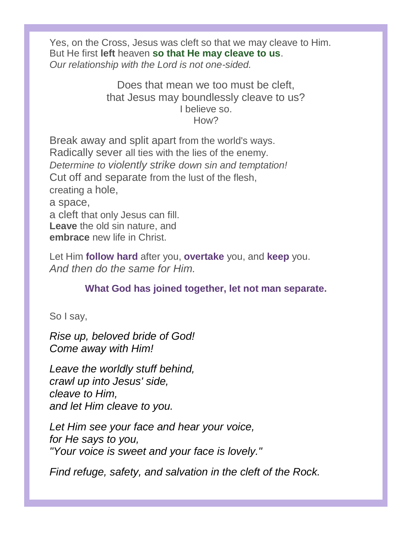Yes, on the Cross, Jesus was cleft so that we may cleave to Him. But He first **left** heaven **so that He may cleave to us**. *Our relationship with the Lord is not one-sided.*

> Does that mean we too must be cleft, that Jesus may boundlessly cleave to us? I believe so. How?

Break away and split apart from the world's ways. Radically sever all ties with the lies of the enemy. *Determine to violently strike down sin and temptation!* Cut off and separate from the lust of the flesh, creating a hole, a space, a cleft that only Jesus can fill. **Leave** the old sin nature, and **embrace** new life in Christ.

Let Him **follow hard** after you, **overtake** you, and **keep** you. *And then do the same for Him.*

**What God has joined together, let not man separate.**

So I say,

*Rise up, beloved bride of God! Come away with Him!*

*Leave the worldly stuff behind, crawl up into Jesus' side, cleave to Him, and let Him cleave to you.*

*Let Him see your face and hear your voice, for He says to you, "Your voice is sweet and your face is lovely."*

*Find refuge, safety, and salvation in the cleft of the Rock.*